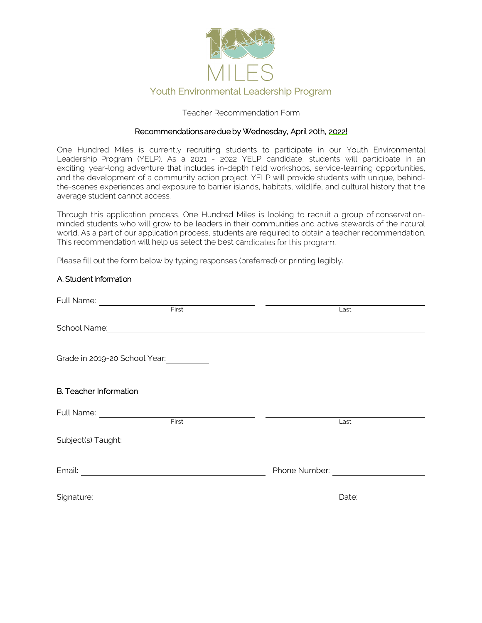

### Teacher Recommendation Form

#### Recommendations are due by Wednesday, April 20th, 2022!

One Hundred Miles is currently recruiting students to participate in our Youth Environmental Leadership Program (YELP). As a 2021 - 2022 YELP candidate, students will participate in an exciting year-long adventure that includes in-depth field workshops, service-learning opportunities, and the development of a community action project. YELP will provide students with unique, behindthe-scenes experiences and exposure to barrier islands, habitats, wildlife, and cultural history that the average student cannot access.

Through this application process, One Hundred Miles is looking to recruit a group of conservationminded students who will grow to be leaders in their communities and active stewards of the natural world. As a part of our application process, students are required to obtain a teacher recommendation. This recommendation will help us select the best candidates for this program.

Please fill out the form below by typing responses (preferred) or printing legibly.

### A. Student Information

| Full Name:<br><u> 1989 - Jan Barbara Barat, prima popular popular popular popular popular popular popular popular popular popu</u>                                                                                                   |                                                                                                                                                                                                                                |
|--------------------------------------------------------------------------------------------------------------------------------------------------------------------------------------------------------------------------------------|--------------------------------------------------------------------------------------------------------------------------------------------------------------------------------------------------------------------------------|
| First                                                                                                                                                                                                                                | Last                                                                                                                                                                                                                           |
| School Name: <u>Contract of the Contract of the Contract of the Contract of the Contract of the Contract of the Contract of the Contract of the Contract of the Contract of the Contract of the Contract of the Contract of the </u> |                                                                                                                                                                                                                                |
| Grade in 2019-20 School Year:                                                                                                                                                                                                        |                                                                                                                                                                                                                                |
| <b>B.</b> Teacher Information                                                                                                                                                                                                        |                                                                                                                                                                                                                                |
|                                                                                                                                                                                                                                      | Last                                                                                                                                                                                                                           |
|                                                                                                                                                                                                                                      |                                                                                                                                                                                                                                |
| Email:<br><u> 1989 - Johann Harry Harry Harry Harry Harry Harry Harry Harry Harry Harry Harry Harry Harry Harry Harry Harry</u>                                                                                                      | Phone Number: Note that the property of the property of the property of the property of the property of the property of the property of the property of the property of the property of the property of the property of the pr |
| Signature:<br><u> 1989 - Andrea Stadt British, fransk politik (d. 1989)</u>                                                                                                                                                          | Date:                                                                                                                                                                                                                          |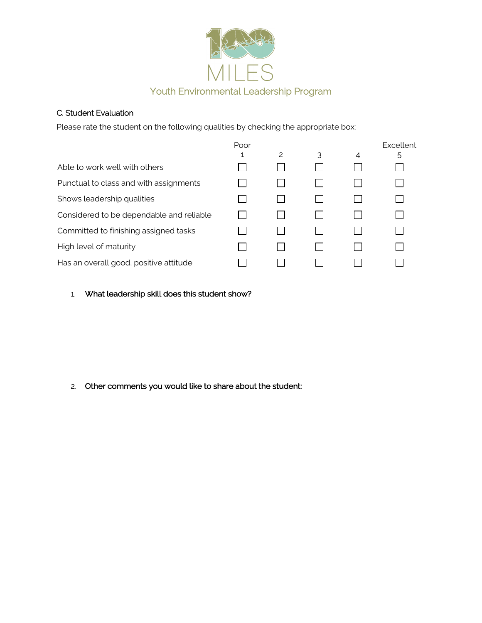

## C. Student Evaluation

Please rate the student on the following qualities by checking the appropriate box:

|                                          | Poor |   |   |   | Excellent |
|------------------------------------------|------|---|---|---|-----------|
|                                          | 1    | 2 | 3 | 4 | 5         |
| Able to work well with others            |      |   |   |   |           |
| Punctual to class and with assignments   |      |   |   |   |           |
| Shows leadership qualities               |      |   |   |   |           |
| Considered to be dependable and reliable |      |   |   |   |           |
| Committed to finishing assigned tasks    |      |   |   |   |           |
| High level of maturity                   |      |   |   |   |           |
| Has an overall good, positive attitude   |      |   |   |   |           |

## 1. What leadership skill does this student show?

# 2. Other comments you would like to share about the student: